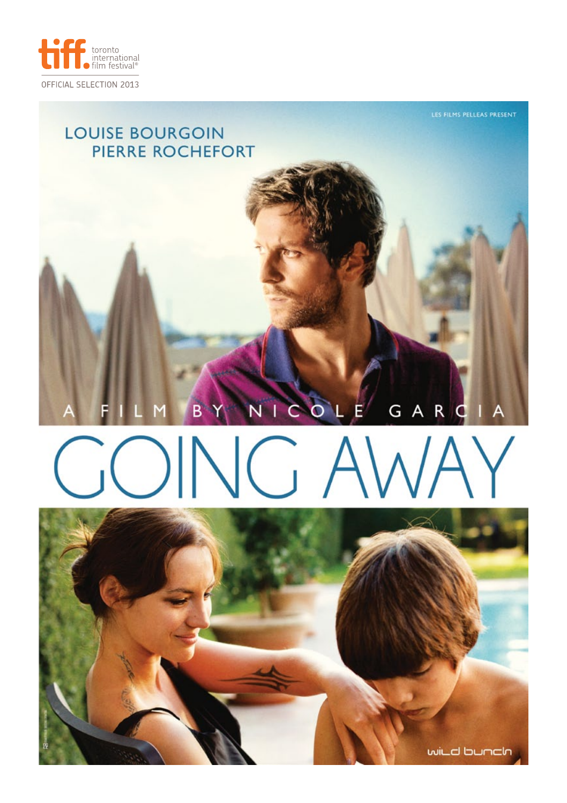

# **LOUISE BOURGOIN** PIERRE ROCHEFORT GARC  $O<sub>L</sub>$  $E$ Ñ C

# $\bigvee$  $\mathbb N$

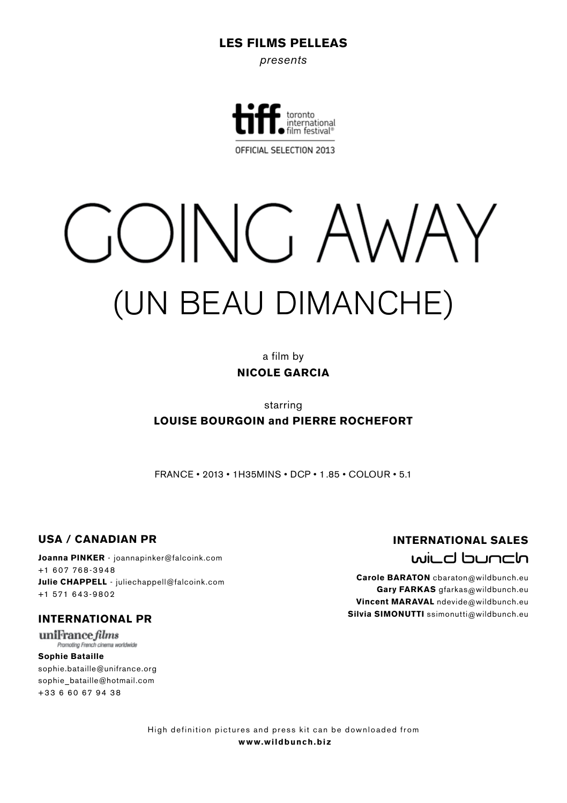#### LES FILMS PELLEAS

*presents*



OFFICIAL SELECTION 2013

# GOING AWAY (UN BEAU DIMANCHE)

a film by NICOLE GARCIA

starring

#### LOUISE BOURGOIN and PIERRE ROCHEFORT

FRANCE • 2013 • 1h35mins • DCP • 1.85 • COLOUR • 5.1

#### USA / CANADIAN PR

Joanna PINKER - joannapinker@falcoink.com +1 607 768-3948 Julie CHAPPELL - juliechappell@falcoink.com +1 571 643-9802

#### INTERNATIONAL PR

uniFrance films Promoting French cinema worldwide

Sophie Bataille sophie.bataille@unifrance.org sophie\_bataille@hotmail.com +33 6 60 67 94 38

# INTERNATIONAL SALES willd bunclo

Carole BARATON cbaraton@wildbunch.eu Gary FARKAS gfarkas@wildbunch.eu Vincent MARAVAL ndevide@wildbunch.eu Silvia SIMONUTTI ssimonutti@wildbunch.eu

High definition pictures and press kit can be downloaded from www.wildbunch.biz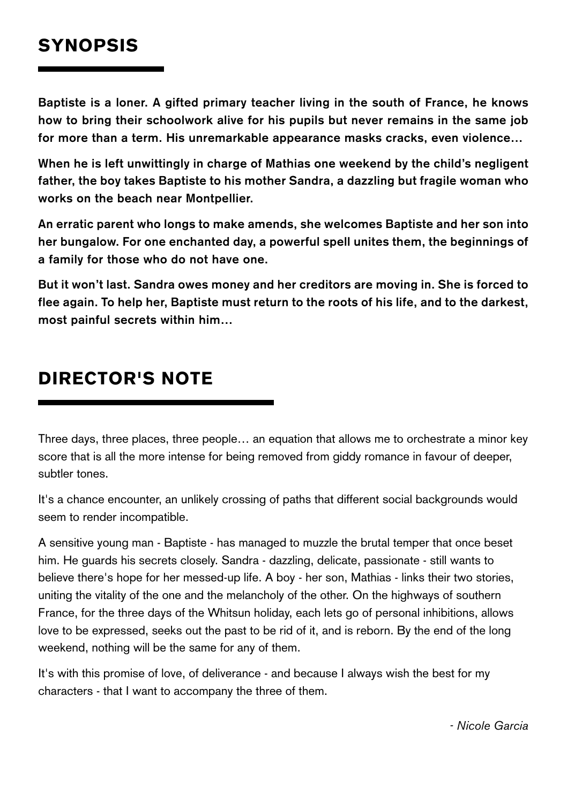# **SYNOPSIS**

**Baptiste is a loner. A gifted primary teacher living in the south of France, he knows how to bring their schoolwork alive for his pupils but never remains in the same job for more than a term. His unremarkable appearance masks cracks, even violence…**

**When he is left unwittingly in charge of Mathias one weekend by the child's negligent father, the boy takes Baptiste to his mother Sandra, a dazzling but fragile woman who works on the beach near Montpellier.**

**An erratic parent who longs to make amends, she welcomes Baptiste and her son into her bungalow. For one enchanted day, a powerful spell unites them, the beginnings of a family for those who do not have one.**

**But it won't last. Sandra owes money and her creditors are moving in. She is forced to flee again. To help her, Baptiste must return to the roots of his life, and to the darkest, most painful secrets within him…** 

# director's NOTE

Three days, three places, three people… an equation that allows me to orchestrate a minor key score that is all the more intense for being removed from giddy romance in favour of deeper, subtler tones.

It's a chance encounter, an unlikely crossing of paths that different social backgrounds would seem to render incompatible.

A sensitive young man - Baptiste - has managed to muzzle the brutal temper that once beset him. He guards his secrets closely. Sandra - dazzling, delicate, passionate - still wants to believe there's hope for her messed-up life. A boy - her son, Mathias - links their two stories, uniting the vitality of the one and the melancholy of the other. On the highways of southern France, for the three days of the Whitsun holiday, each lets go of personal inhibitions, allows love to be expressed, seeks out the past to be rid of it, and is reborn. By the end of the long weekend, nothing will be the same for any of them.

It's with this promise of love, of deliverance - and because I always wish the best for my characters - that I want to accompany the three of them.

 *- Nicole Garcia*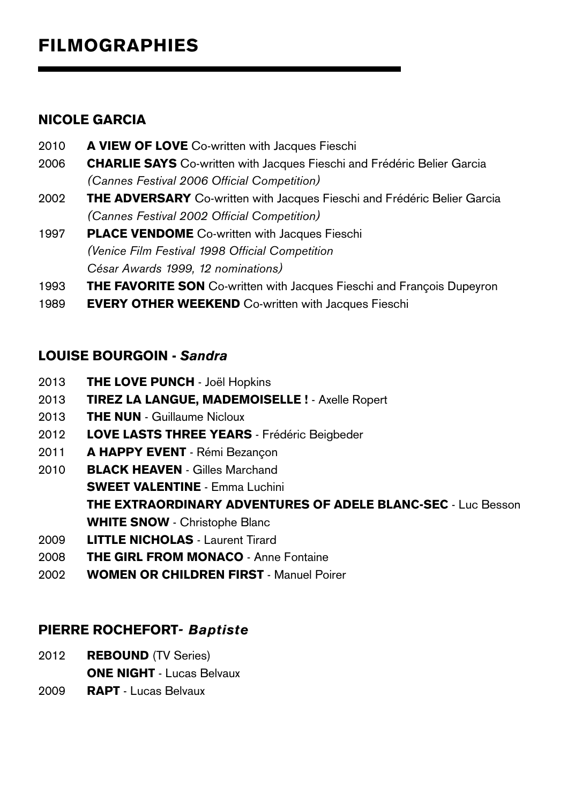# FILMOGRAPHIES

# NICOLE GARCIA

- 2010 **A VIEW OF LOVE** Co-written with Jacques Fieschi
- 2006 CHARLIE SAYS Co-written with Jacques Fieschi and Frédéric Belier Garcia *(Cannes Festival 2006 Official Competition)*
- 2002 THE ADVERSARY Co-written with Jacques Fieschi and Frédéric Belier Garcia *(Cannes Festival 2002 Official Competition)*
- 1997 PLACE VENDOME Co-written with Jacques Fieschi *(Venice Film Festival 1998 Official Competition César Awards 1999, 12 nominations)*
- 1993 THE FAVORITE SON Co-written with Jacques Fieschi and François Dupeyron
- 1989 **EVERY OTHER WEEKEND** Co-written with Jacques Fieschi

## LOUISE BOURGOIN - *Sandra*

- 2013 **THE LOVE PUNCH** Joël Hopkins
- 2013 **TIREZ LA LANGUE, MADEMOISELLE !** Axelle Ropert
- 2013 **THE NUN** Guillaume Nicloux
- 2012 LOVE LASTS THREE YEARS Frédéric Beigbeder
- 2011 A HAPPY EVENT Rémi Bezancon
- 2010 BLACK HEAVEN Gilles Marchand SWEET VALENTINE - Emma Luchini THE EXTRAORDINARY ADVENTURES OF ADELE BLANC-SEC - Luc Besson WHITE SNOW - Christophe Blanc
- 2009 LITTLE NICHOLAS Laurent Tirard
- 2008 THE GIRL FROM MONACO Anne Fontaine
- 2002 WOMEN OR CHILDREN FIRST Manuel Poirer

## PIERRE ROCHEFORT*- Baptiste*

- 2012 **REBOUND** (TV Series) **ONE NIGHT - Lucas Belvaux**
- 2009 RAPT Lucas Belvaux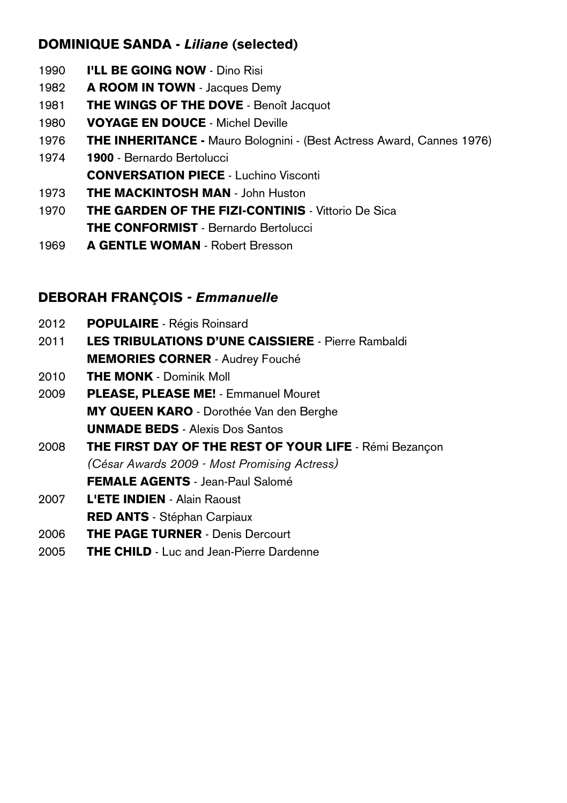# DOMINIQUE SANDA - *Liliane* (selected)

- 1990 **I'LL BE GOING NOW** Dino Risi
- 1982 A ROOM IN TOWN Jacques Demy
- 1981 **THE WINGS OF THE DOVE** Benoît Jacquot
- 1980 **VOYAGE EN DOUCE** Michel Deville
- 1976 THE INHERITANCE Mauro Bolognini (Best Actress Award, Cannes 1976)
- 1974 1900 Bernardo Bertolucci CONVERSATION PIECE - Luchino Visconti
- 1973 **THE MACKINTOSH MAN John Huston**
- 1970 **THE GARDEN OF THE FIZI-CONTINIS** Vittorio De Sica **THE CONFORMIST** - Bernardo Bertolucci
- 1969 A GENTLE WOMAN Robert Bresson

# DEBORAH FRANÇOIS *- Emmanuelle*

- 2012 POPULAIRE Régis Roinsard
- 2011 LES TRIBULATIONS D'UNE CAISSIERE Pierre Rambaldi MEMORIES CORNER - Audrey Fouché
- 2010 **THE MONK** Dominik Moll
- 2009 PLEASE, PLEASE ME! Emmanuel Mouret MY QUEEN KARO - Dorothée Van den Berghe UNMADE BEDS - Alexis Dos Santos
- 2008 THE FIRST DAY OF THE REST OF YOUR LIFE Rémi Bezançon *(César Awards 2009 - Most Promising Actress)* FEMALE AGENTS - Jean-Paul Salomé
- 2007 L'ETE INDIEN Alain Raoust
- RED ANTS Stéphan Carpiaux
- 2006 THE PAGE TURNER Denis Dercourt
- 2005 THE CHILD Luc and Jean-Pierre Dardenne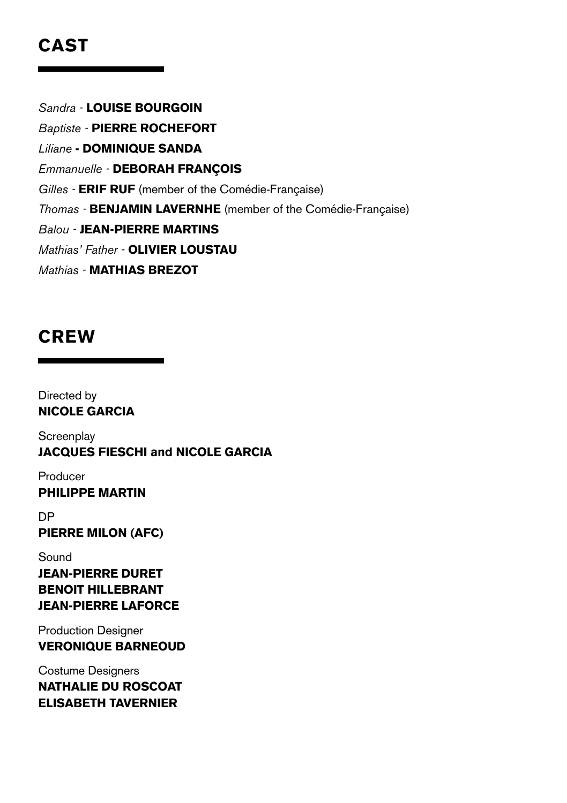# CAST

*Sandra -* Louise Bourgoin

**Baptiste - PIERRE ROCHEFORT** 

*Liliane* - Dominique Sanda

*Emmanuelle - DEBORAH FRANÇOIS* 

Gilles - **ERIF RUF** (member of the Comédie-Française)

**Thomas - BENJAMIN LAVERNHE** (member of the Comédie-Française)

*Balou -* Jean-Pierre Martins

*Mathias' Father - OLIVIER LOUSTAU* 

*Mathias -* Mathias Brezot

# **CREW**

Directed by Nicole Garcia

**Screenplay** Jacques Fieschi and Nicole Garcia

Producer Philippe Martin

**DP** Pierre Milon (AFC)

## Sound Jean-Pierre Duret BenoIt Hillebrant Jean-Pierre Laforce

Production Designer VEronique BarnEoud

Costume Designers Nathalie Du RoscoAt Elisabeth Tavernier